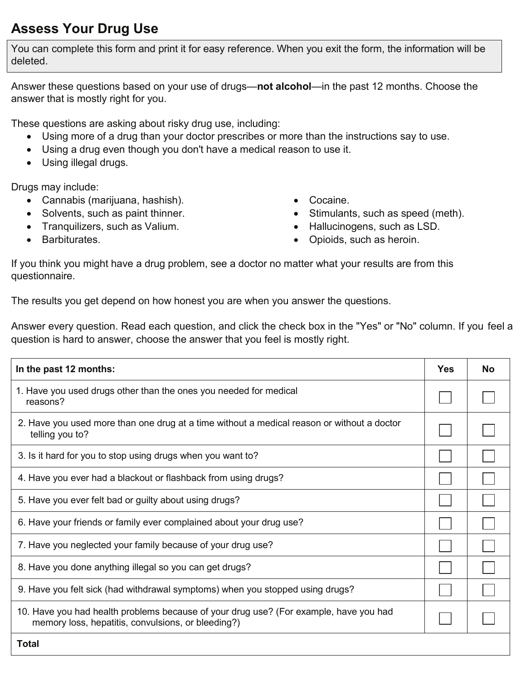## **Assess Your Drug Use**

You can complete this form and print it for easy reference. When you exit the form, the information will be deleted.

Answer these questions based on your use of drugs—**not alcohol**—in the past 12 months. Choose the answer that is mostly right for you.

These questions are asking about risky drug use, including:

- Using more of a drug than your doctor prescribes or more than the instructions say to use.
- Using a drug even though you don't have a medical reason to use it.
- Using illegal drugs.

Drugs may include:

- x Cannabis (marijuana, hashish). x Cocaine.
- 
- Tranquilizers, such as Valium.  $\bullet$  Hallucinogens, such as LSD.
- 
- 
- Solvents, such as paint thinner.  $\bullet$  Stimulants, such as speed (meth).
	-
- Barbiturates.  $\bullet$  Dpioids, such as heroin.

If you think you might have a drug problem, see a doctor no matter what your results are from this questionnaire.

The results you get depend on how honest you are when you answer the questions.

Answer every question. Read each question, and click the check box in the "Yes" or "No" column. If you feel a question is hard to answer, choose the answer that you feel is mostly right.

| In the past 12 months:                                                                                                                      | <b>Yes</b> | <b>No</b> |
|---------------------------------------------------------------------------------------------------------------------------------------------|------------|-----------|
| 1. Have you used drugs other than the ones you needed for medical<br>reasons?                                                               |            |           |
| 2. Have you used more than one drug at a time without a medical reason or without a doctor<br>telling you to?                               |            |           |
| 3. Is it hard for you to stop using drugs when you want to?                                                                                 |            |           |
| 4. Have you ever had a blackout or flashback from using drugs?                                                                              |            |           |
| 5. Have you ever felt bad or guilty about using drugs?                                                                                      |            |           |
| 6. Have your friends or family ever complained about your drug use?                                                                         |            |           |
| 7. Have you neglected your family because of your drug use?                                                                                 |            |           |
| 8. Have you done anything illegal so you can get drugs?                                                                                     |            |           |
| 9. Have you felt sick (had withdrawal symptoms) when you stopped using drugs?                                                               |            |           |
| 10. Have you had health problems because of your drug use? (For example, have you had<br>memory loss, hepatitis, convulsions, or bleeding?) |            |           |
| <b>Total</b>                                                                                                                                |            |           |